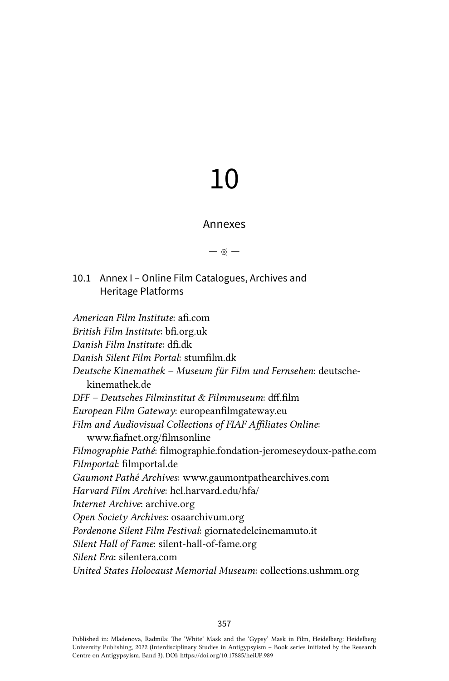# 10

## Annexes

— ※ —

# 10.1 Annex I – Online Film Catalogues, Archives and Heritage Platforms

*American Film Institute*: [afi.com](http://afi.com) *British Film Institute*: [bfi.org.uk](http://bfi.org.uk) *Danish Film Institute*: [dfi.dk](http://dfi.dk) *Danish Silent Film Portal*: [stumfilm.dk](http://stumfilm.dk) *Deutsche Kinemathek – Museum für Film und Fernsehen*: [deutsche](http://deutsche-kinemathek.de)[kinemathek.de](http://deutsche-kinemathek.de) *DFF – Deutsches Filminstitut & Filmmuseum*: [dff.film](http://dff.film) *European Film Gateway*: [europeanfilmgateway.eu](http://europeanfilmgateway.eu) *Film and Audiovisual Collections of FIAF Affiliates Online*: [www.fiafnet.org/filmsonline](http://www.fiafnet.org/filmsonline) *Filmographie Pathé*: [filmographie.fondation-jeromeseydoux-pathe.com](http://filmographie.fondation-jeromeseydoux-pathe.com) *Filmportal*: [filmportal.de](http://filmportal.de) *Gaumont Pathé Archives*: [www.gaumontpathearchives.com](http://www.gaumontpathearchives.com) *Harvard Film Archive*: [hcl.harvard.edu/hfa/](http://hcl.harvard.edu/hfa/) *Internet Archive*: [archive.org](http://archive.org) *Open Society Archives*: [osaarchivum.org](http://osaarchivum.org) *Pordenone Silent Film Festival*: [giornatedelcinemamuto.it](http://www.giornatedelcinemamuto.it) *Silent Hall of Fame*: [silent-hall-of-fame.org](http://silent-hall-of-fame.org) *Silent Era*: [silentera.com](http://silentera.com) *United States Holocaust Memorial Museum*: [collections.ushmm.org](https://collections.ushmm.org)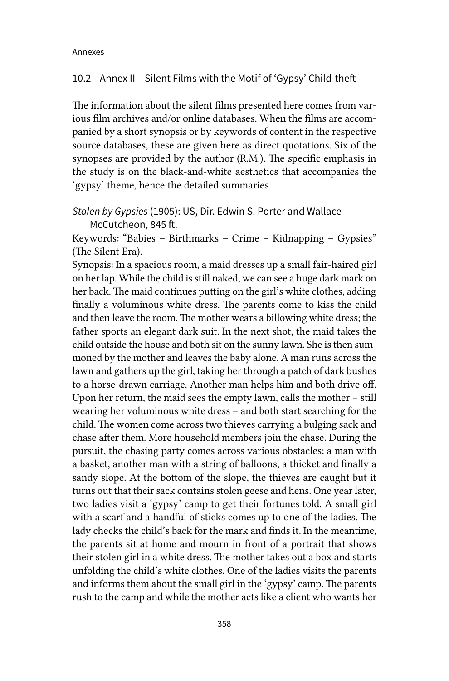#### 10.2 Annex II – Silent Films with the Motif of 'Gypsy' Child-theft

The information about the silent films presented here comes from various film archives and/or online databases. When the films are accompanied by a short synopsis or by keywords of content in the respective source databases, these are given here as direct quotations. Six of the synopses are provided by the author (R.M.). The specific emphasis in the study is on the black-and-white aesthetics that accompanies the 'gypsy' theme, hence the detailed summaries.

*Stolen by Gypsies* (1905): US, Dir. Edwin S. Porter and Wallace McCutcheon, 845 ft.

Keywords: "Babies – Birthmarks – Crime – Kidnapping – Gypsies" (The Silent Era).

Synopsis: In a spacious room, a maid dresses up a small fair-haired girl on her lap. While the child is still naked, we can see a huge dark mark on her back. The maid continues putting on the girl's white clothes, adding finally a voluminous white dress. The parents come to kiss the child and then leave the room. The mother wears a billowing white dress; the father sports an elegant dark suit. In the next shot, the maid takes the child outside the house and both sit on the sunny lawn. She is then summoned by the mother and leaves the baby alone. A man runs across the lawn and gathers up the girl, taking her through a patch of dark bushes to a horse-drawn carriage. Another man helps him and both drive off. Upon her return, the maid sees the empty lawn, calls the mother – still wearing her voluminous white dress – and both start searching for the child. The women come across two thieves carrying a bulging sack and chase after them. More household members join the chase. During the pursuit, the chasing party comes across various obstacles: a man with a basket, another man with a string of balloons, a thicket and finally a sandy slope. At the bottom of the slope, the thieves are caught but it turns out that their sack contains stolen geese and hens. One year later, two ladies visit a 'gypsy' camp to get their fortunes told. A small girl with a scarf and a handful of sticks comes up to one of the ladies. The lady checks the child's back for the mark and finds it. In the meantime, the parents sit at home and mourn in front of a portrait that shows their stolen girl in a white dress. The mother takes out a box and starts unfolding the child's white clothes. One of the ladies visits the parents and informs them about the small girl in the 'gypsy' camp. The parents rush to the camp and while the mother acts like a client who wants her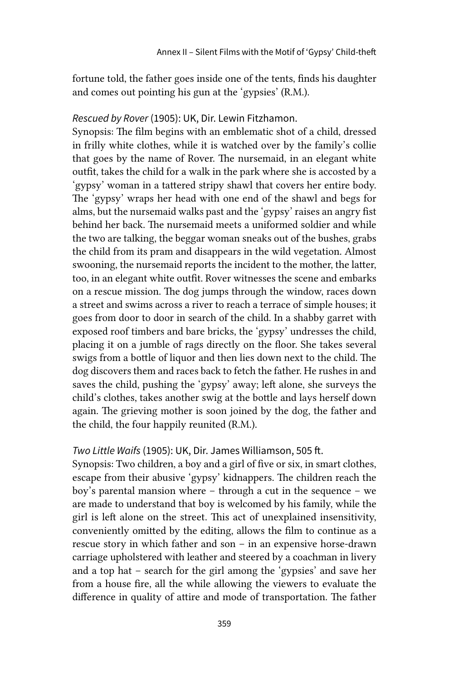fortune told, the father goes inside one of the tents, finds his daughter and comes out pointing his gun at the 'gypsies' (R.M.).

## *Rescued by Rover* (1905): UK, Dir. Lewin Fitzhamon.

Synopsis: The film begins with an emblematic shot of a child, dressed in frilly white clothes, while it is watched over by the family's collie that goes by the name of Rover. The nursemaid, in an elegant white outfit, takes the child for a walk in the park where she is accosted by a 'gypsy' woman in a tattered stripy shawl that covers her entire body. The 'gypsy' wraps her head with one end of the shawl and begs for alms, but the nursemaid walks past and the 'gypsy' raises an angry fist behind her back. The nursemaid meets a uniformed soldier and while the two are talking, the beggar woman sneaks out of the bushes, grabs the child from its pram and disappears in the wild vegetation. Almost swooning, the nursemaid reports the incident to the mother, the latter, too, in an elegant white outfit. Rover witnesses the scene and embarks on a rescue mission. The dog jumps through the window, races down a street and swims across a river to reach a terrace of simple houses; it goes from door to door in search of the child. In a shabby garret with exposed roof timbers and bare bricks, the 'gypsy' undresses the child, placing it on a jumble of rags directly on the floor. She takes several swigs from a bottle of liquor and then lies down next to the child. The dog discovers them and races back to fetch the father. He rushes in and saves the child, pushing the 'gypsy' away; left alone, she surveys the child's clothes, takes another swig at the bottle and lays herself down again. The grieving mother is soon joined by the dog, the father and the child, the four happily reunited (R.M.).

#### *Two Little Waifs* (1905): UK, Dir. James Williamson, 505 ft.

Synopsis: Two children, a boy and a girl of five or six, in smart clothes, escape from their abusive 'gypsy' kidnappers. The children reach the boy's parental mansion where – through a cut in the sequence – we are made to understand that boy is welcomed by his family, while the girl is left alone on the street. This act of unexplained insensitivity, conveniently omitted by the editing, allows the film to continue as a rescue story in which father and son – in an expensive horse-drawn carriage upholstered with leather and steered by a coachman in livery and a top hat – search for the girl among the 'gypsies' and save her from a house fire, all the while allowing the viewers to evaluate the difference in quality of attire and mode of transportation. The father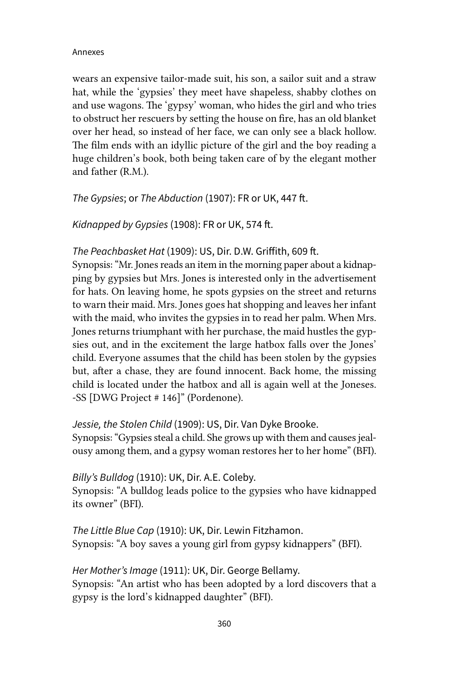wears an expensive tailor-made suit, his son, a sailor suit and a straw hat, while the 'gypsies' they meet have shapeless, shabby clothes on and use wagons. The 'gypsy' woman, who hides the girl and who tries to obstruct her rescuers by setting the house on fire, has an old blanket over her head, so instead of her face, we can only see a black hollow. The film ends with an idyllic picture of the girl and the boy reading a huge children's book, both being taken care of by the elegant mother and father (R.M.).

*The Gypsies*; or *The Abduction* (1907): FR or UK, 447 ft.

*Kidnapped by Gypsies* (1908): FR or UK, 574 ft.

## *The Peachbasket Hat* (1909): US, Dir. D.W. Griffith, 609 ft.

Synopsis: "Mr. Jones reads an item in the morning paper about a kidnapping by gypsies but Mrs. Jones is interested only in the advertisement for hats. On leaving home, he spots gypsies on the street and returns to warn their maid. Mrs. Jones goes hat shopping and leaves her infant with the maid, who invites the gypsies in to read her palm. When Mrs. Jones returns triumphant with her purchase, the maid hustles the gypsies out, and in the excitement the large hatbox falls over the Jones' child. Everyone assumes that the child has been stolen by the gypsies but, after a chase, they are found innocent. Back home, the missing child is located under the hatbox and all is again well at the Joneses. -SS [DWG Project # 146]" (Pordenone).

*Jessie, the Stolen Child* (1909): US, Dir. Van Dyke Brooke. Synopsis: "Gypsies steal a child. She grows up with them and causes jealousy among them, and a gypsy woman restores her to her home" (BFI).

*Billy's Bulldog* (1910): UK, Dir. A.E. Coleby. Synopsis: "A bulldog leads police to the gypsies who have kidnapped its owner" (BFI).

*The Little Blue Cap* (1910): UK, Dir. Lewin Fitzhamon. Synopsis: "A boy saves a young girl from gypsy kidnappers" (BFI).

*Her Mother's Image* (1911): UK, Dir. George Bellamy. Synopsis: "An artist who has been adopted by a lord discovers that a gypsy is the lord's kidnapped daughter" (BFI).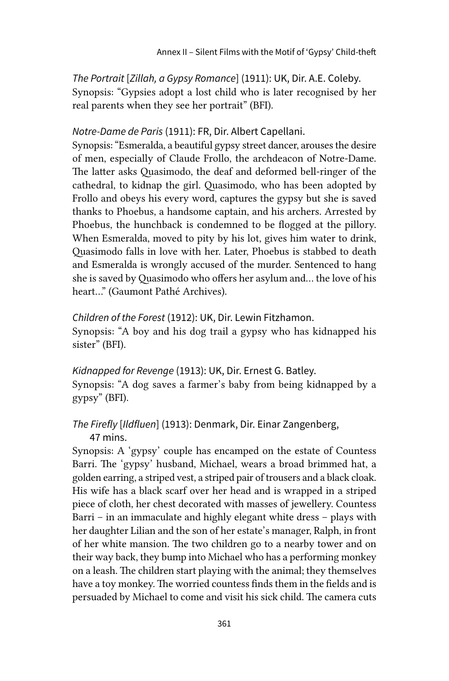*The Portrait* [*Zillah, a Gypsy Romance*] (1911): UK, Dir. A.E. Coleby. Synopsis: "Gypsies adopt a lost child who is later recognised by her real parents when they see her portrait" (BFI).

## *Notre-Dame de Paris* (1911): FR, Dir. Albert Capellani.

Synopsis: "Esmeralda, a beautiful gypsy street dancer, arouses the desire of men, especially of Claude Frollo, the archdeacon of Notre-Dame. The latter asks Quasimodo, the deaf and deformed bell-ringer of the cathedral, to kidnap the girl. Quasimodo, who has been adopted by Frollo and obeys his every word, captures the gypsy but she is saved thanks to Phoebus, a handsome captain, and his archers. Arrested by Phoebus, the hunchback is condemned to be flogged at the pillory. When Esmeralda, moved to pity by his lot, gives him water to drink, Quasimodo falls in love with her. Later, Phoebus is stabbed to death and Esmeralda is wrongly accused of the murder. Sentenced to hang she is saved by Quasimodo who offers her asylum and... the love of his heart..." (Gaumont Pathé Archives).

*Children of the Forest* (1912): UK, Dir. Lewin Fitzhamon. Synopsis: "A boy and his dog trail a gypsy who has kidnapped his sister" (BFI).

*Kidnapped for Revenge* (1913): UK, Dir. Ernest G. Batley. Synopsis: "A dog saves a farmer's baby from being kidnapped by a gypsy" (BFI).

## *The Firefly* [*Ildfluen*] (1913): Denmark, Dir. Einar Zangenberg, 47 mins.

Synopsis: A 'gypsy' couple has encamped on the estate of Countess Barri. The 'gypsy' husband, Michael, wears a broad brimmed hat, a golden earring, a striped vest, a striped pair of trousers and a black cloak. His wife has a black scarf over her head and is wrapped in a striped piece of cloth, her chest decorated with masses of jewellery. Countess Barri – in an immaculate and highly elegant white dress – plays with her daughter Lilian and the son of her estate's manager, Ralph, in front of her white mansion. The two children go to a nearby tower and on their way back, they bump into Michael who has a performing monkey on a leash. The children start playing with the animal; they themselves have a toy monkey. The worried countess finds them in the fields and is persuaded by Michael to come and visit his sick child. The camera cuts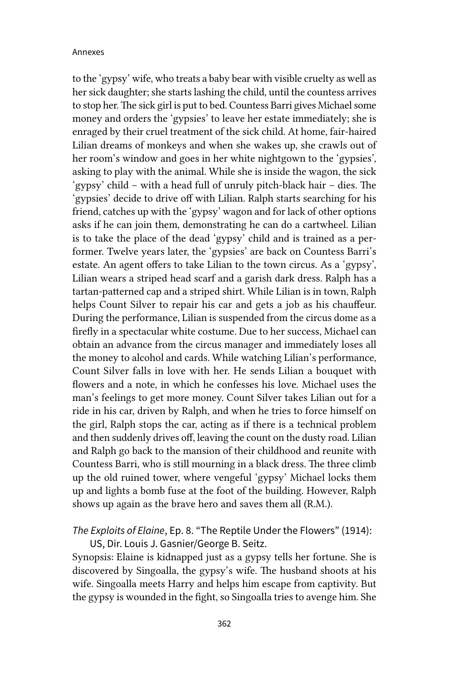to the 'gypsy' wife, who treats a baby bear with visible cruelty as well as her sick daughter; she starts lashing the child, until the countess arrives to stop her. The sick girl is put to bed. Countess Barri gives Michael some money and orders the 'gypsies' to leave her estate immediately; she is enraged by their cruel treatment of the sick child. At home, fair-haired Lilian dreams of monkeys and when she wakes up, she crawls out of her room's window and goes in her white nightgown to the 'gypsies', asking to play with the animal. While she is inside the wagon, the sick 'gypsy' child – with a head full of unruly pitch-black hair – dies. The 'gypsies' decide to drive off with Lilian. Ralph starts searching for his friend, catches up with the 'gypsy' wagon and for lack of other options asks if he can join them, demonstrating he can do a cartwheel. Lilian is to take the place of the dead 'gypsy' child and is trained as a performer. Twelve years later, the 'gypsies' are back on Countess Barri's estate. An agent offers to take Lilian to the town circus. As a 'gypsy', Lilian wears a striped head scarf and a garish dark dress. Ralph has a tartan-patterned cap and a striped shirt. While Lilian is in town, Ralph helps Count Silver to repair his car and gets a job as his chauffeur. During the performance, Lilian is suspended from the circus dome as a firefly in a spectacular white costume. Due to her success, Michael can obtain an advance from the circus manager and immediately loses all the money to alcohol and cards. While watching Lilian's performance, Count Silver falls in love with her. He sends Lilian a bouquet with flowers and a note, in which he confesses his love. Michael uses the man's feelings to get more money. Count Silver takes Lilian out for a ride in his car, driven by Ralph, and when he tries to force himself on the girl, Ralph stops the car, acting as if there is a technical problem and then suddenly drives off, leaving the count on the dusty road. Lilian and Ralph go back to the mansion of their childhood and reunite with Countess Barri, who is still mourning in a black dress. The three climb up the old ruined tower, where vengeful 'gypsy' Michael locks them up and lights a bomb fuse at the foot of the building. However, Ralph shows up again as the brave hero and saves them all (R.M.).

*The Exploits of Elaine*, Ep. 8. "The Reptile Under the Flowers" (1914):

US, Dir. Louis J. Gasnier/George B. Seitz. Synopsis: Elaine is kidnapped just as a gypsy tells her fortune. She is discovered by Singoalla, the gypsy's wife. The husband shoots at his wife. Singoalla meets Harry and helps him escape from captivity. But the gypsy is wounded in the fight, so Singoalla tries to avenge him. She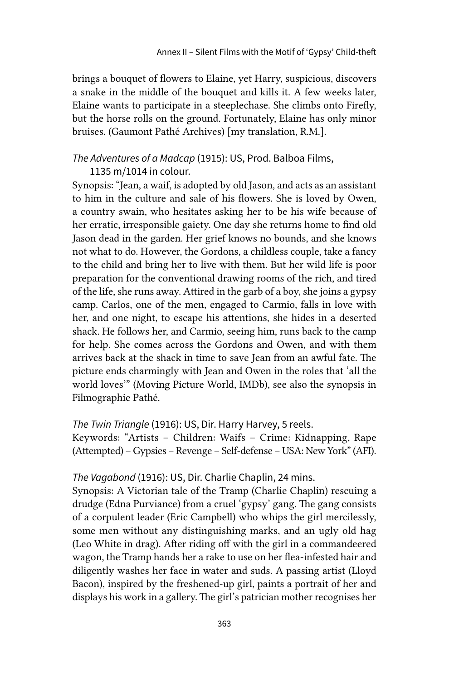brings a bouquet of flowers to Elaine, yet Harry, suspicious, discovers a snake in the middle of the bouquet and kills it. A few weeks later, Elaine wants to participate in a steeplechase. She climbs onto Firefly, but the horse rolls on the ground. Fortunately, Elaine has only minor bruises. (Gaumont Pathé Archives) [my translation, R.M.].

## *The Adventures of a Madcap* (1915): US, Prod. Balboa Films,

## 1135 m/1014 in colour.

Synopsis: "Jean, a waif, is adopted by old Jason, and acts as an assistant to him in the culture and sale of his flowers. She is loved by Owen, a country swain, who hesitates asking her to be his wife because of her erratic, irresponsible gaiety. One day she returns home to find old Jason dead in the garden. Her grief knows no bounds, and she knows not what to do. However, the Gordons, a childless couple, take a fancy to the child and bring her to live with them. But her wild life is poor preparation for the conventional drawing rooms of the rich, and tired of the life, she runs away. Attired in the garb of a boy, she joins a gypsy camp. Carlos, one of the men, engaged to Carmio, falls in love with her, and one night, to escape his attentions, she hides in a deserted shack. He follows her, and Carmio, seeing him, runs back to the camp for help. She comes across the Gordons and Owen, and with them arrives back at the shack in time to save Jean from an awful fate. The picture ends charmingly with Jean and Owen in the roles that 'all the world loves'" (Moving Picture World, IMDb), see also the synopsis in Filmographie Pathé.

## *The Twin Triangle* (1916): US, Dir. Harry Harvey, 5 reels.

Keywords: "Artists – Children: Waifs – Crime: Kidnapping, Rape (Attempted) – Gypsies – Revenge – Self-defense – USA: New York" (AFI).

## *The Vagabond* (1916): US, Dir. Charlie Chaplin, 24 mins.

Synopsis: A Victorian tale of the Tramp (Charlie Chaplin) rescuing a drudge (Edna Purviance) from a cruel 'gypsy' gang. The gang consists of a corpulent leader (Eric Campbell) who whips the girl mercilessly, some men without any distinguishing marks, and an ugly old hag (Leo White in drag). After riding off with the girl in a commandeered wagon, the Tramp hands her a rake to use on her flea-infested hair and diligently washes her face in water and suds. A passing artist (Lloyd Bacon), inspired by the freshened-up girl, paints a portrait of her and displays his work in a gallery. The girl's patrician mother recognises her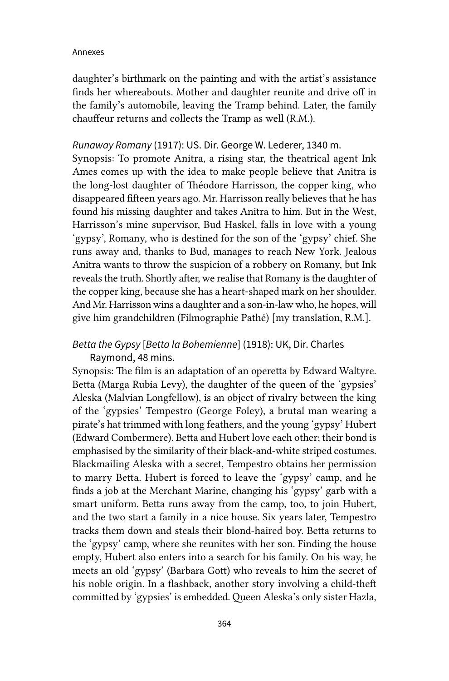daughter's birthmark on the painting and with the artist's assistance finds her whereabouts. Mother and daughter reunite and drive off in the family's automobile, leaving the Tramp behind. Later, the family chauffeur returns and collects the Tramp as well (R.M.).

#### *Runaway Romany* (1917): US. Dir. George W. Lederer, 1340 m.

Synopsis: To promote Anitra, a rising star, the theatrical agent Ink Ames comes up with the idea to make people believe that Anitra is the long-lost daughter of Théodore Harrisson, the copper king, who disappeared fifteen years ago. Mr. Harrisson really believes that he has found his missing daughter and takes Anitra to him. But in the West, Harrisson's mine supervisor, Bud Haskel, falls in love with a young 'gypsy', Romany, who is destined for the son of the 'gypsy' chief. She runs away and, thanks to Bud, manages to reach New York. Jealous Anitra wants to throw the suspicion of a robbery on Romany, but Ink reveals the truth. Shortly after, we realise that Romany is the daughter of the copper king, because she has a heart-shaped mark on her shoulder. And Mr. Harrisson wins a daughter and a son-in-law who, he hopes, will give him grandchildren (Filmographie Pathé) [my translation, R.M.].

# *Betta the Gypsy* [*Betta la Bohemienne*] (1918): UK, Dir. Charles Raymond, 48 mins.

Synopsis: The film is an adaptation of an operetta by Edward Waltyre. Betta (Marga Rubia Levy), the daughter of the queen of the 'gypsies' Aleska (Malvian Longfellow), is an object of rivalry between the king of the 'gypsies' Tempestro (George Foley), a brutal man wearing a pirate's hat trimmed with long feathers, and the young 'gypsy' Hubert (Edward Combermere). Betta and Hubert love each other; their bond is emphasised by the similarity of their black-and-white striped costumes. Blackmailing Aleska with a secret, Tempestro obtains her permission to marry Betta. Hubert is forced to leave the 'gypsy' camp, and he finds a job at the Merchant Marine, changing his 'gypsy' garb with a smart uniform. Betta runs away from the camp, too, to join Hubert, and the two start a family in a nice house. Six years later, Tempestro tracks them down and steals their blond-haired boy. Betta returns to the 'gypsy' camp, where she reunites with her son. Finding the house empty, Hubert also enters into a search for his family. On his way, he meets an old 'gypsy' (Barbara Gott) who reveals to him the secret of his noble origin. In a flashback, another story involving a child-theft committed by 'gypsies' is embedded. Queen Aleska's only sister Hazla,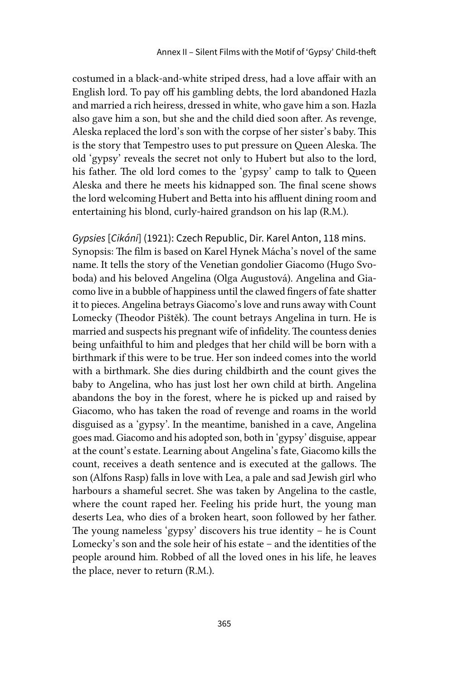costumed in a black-and-white striped dress, had a love affair with an English lord. To pay off his gambling debts, the lord abandoned Hazla and married a rich heiress, dressed in white, who gave him a son. Hazla also gave him a son, but she and the child died soon after. As revenge, Aleska replaced the lord's son with the corpse of her sister's baby. This is the story that Tempestro uses to put pressure on Queen Aleska. The old 'gypsy' reveals the secret not only to Hubert but also to the lord, his father. The old lord comes to the 'gypsy' camp to talk to Queen Aleska and there he meets his kidnapped son. The final scene shows the lord welcoming Hubert and Betta into his affluent dining room and entertaining his blond, curly-haired grandson on his lap (R.M.).

*Gypsies* [*Cikáni*] (1921): Czech Republic, Dir. Karel Anton, 118 mins. Synopsis: The film is based on Karel Hynek Mácha's novel of the same name. It tells the story of the Venetian gondolier Giacomo (Hugo Svoboda) and his beloved Angelina (Olga Augustová). Angelina and Giacomo live in a bubble of happiness until the clawed fingers of fate shatter it to pieces. Angelina betrays Giacomo's love and runs away with Count Lomecky (Theodor Pištěk). The count betrays Angelina in turn. He is married and suspects his pregnant wife of infidelity. The countess denies being unfaithful to him and pledges that her child will be born with a birthmark if this were to be true. Her son indeed comes into the world with a birthmark. She dies during childbirth and the count gives the baby to Angelina, who has just lost her own child at birth. Angelina abandons the boy in the forest, where he is picked up and raised by Giacomo, who has taken the road of revenge and roams in the world disguised as a 'gypsy'. In the meantime, banished in a cave, Angelina goes mad. Giacomo and his adopted son, both in 'gypsy' disguise, appear at the count's estate. Learning about Angelina's fate, Giacomo kills the count, receives a death sentence and is executed at the gallows. The son (Alfons Rasp) falls in love with Lea, a pale and sad Jewish girl who harbours a shameful secret. She was taken by Angelina to the castle, where the count raped her. Feeling his pride hurt, the young man deserts Lea, who dies of a broken heart, soon followed by her father. The young nameless 'gypsy' discovers his true identity – he is Count Lomecky's son and the sole heir of his estate – and the identities of the people around him. Robbed of all the loved ones in his life, he leaves the place, never to return (R.M.).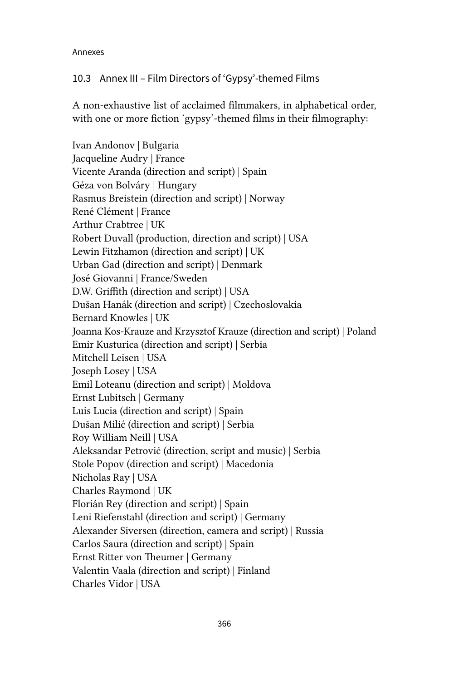## 10.3 Annex III – Film Directors of 'Gypsy'-themed Films

A non-exhaustive list of acclaimed filmmakers, in alphabetical order, with one or more fiction 'gypsy'-themed films in their filmography:

Ivan Andonov | Bulgaria Jacqueline Audry | France Vicente Aranda (direction and script) | Spain Géza von Bolváry | Hungary Rasmus Breistein (direction and script) | Norway René Clément | France Arthur Crabtree | UK Robert Duvall (production, direction and script) | USA Lewin Fitzhamon (direction and script) | UK Urban Gad (direction and script) | Denmark José Giovanni | France/Sweden D.W. Griffith (direction and script) | USA Dušan Hanák (direction and script) | Czechoslovakia Bernard Knowles | UK Joanna Kos-Krauze and Krzysztof Krauze (direction and script) | Poland Emir Kusturica (direction and script) | Serbia Mitchell Leisen | USA Joseph Losey | USA Emil Loteanu (direction and script) | Moldova Ernst Lubitsch | Germany Luis Lucia (direction and script) | Spain Dušan Milić (direction and script) | Serbia Roy William Neill | USA Aleksandar Petrović (direction, script and music) | Serbia Stole Popov (direction and script) | Macedonia Nicholas Ray | USA Charles Raymond | UK Florián Rey (direction and script) | Spain Leni Riefenstahl (direction and script) | Germany Alexander Siversen (direction, camera and script) | Russia Carlos Saura (direction and script) | Spain Ernst Ritter von Theumer | Germany Valentin Vaala (direction and script) | Finland Charles Vidor | USA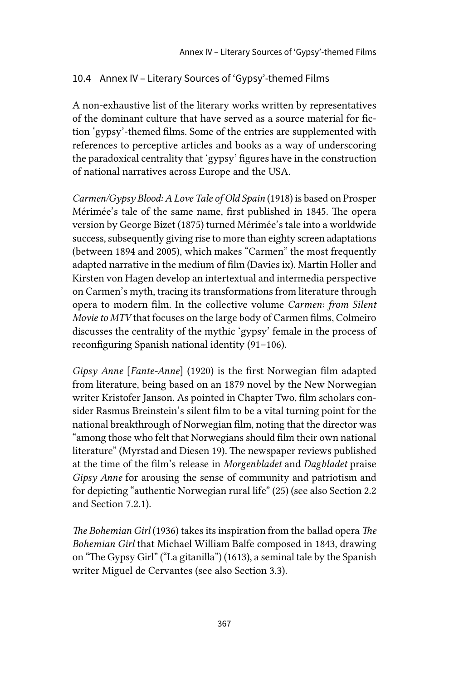# 10.4 Annex IV – Literary Sources of 'Gypsy'-themed Films

A non-exhaustive list of the literary works written by representatives of the dominant culture that have served as a source material for fiction 'gypsy'-themed films. Some of the entries are supplemented with references to perceptive articles and books as a way of underscoring the paradoxical centrality that 'gypsy' figures have in the construction of national narratives across Europe and the USA.

*Carmen/Gypsy Blood: A Love Tale of Old Spain* (1918) is based on Prosper Mérimée's tale of the same name, first published in 1845. The opera version by George Bizet (1875) turned Mérimée's tale into a worldwide success, subsequently giving rise to more than eighty screen adaptations (between 1894 and 2005), which makes "Carmen" the most frequently adapted narrative in the medium of film (Davies ix). Martin Holler and Kirsten von Hagen develop an intertextual and intermedia perspective on Carmen's myth, tracing its transformations from literature through opera to modern film. In the collective volume *Carmen: from Silent Movie to MTV* that focuses on the large body of Carmen films, Colmeiro discusses the centrality of the mythic 'gypsy' female in the process of reconfiguring Spanish national identity (91–106).

*Gipsy Anne* [*Fante-Anne*] (1920) is the first Norwegian film adapted from literature, being based on an 1879 novel by the New Norwegian writer Kristofer Janson. As pointed in Chapter Two, film scholars consider Rasmus Breinstein's silent film to be a vital turning point for the national breakthrough of Norwegian film, noting that the director was "among those who felt that Norwegians should film their own national literature" (Myrstad and Diesen 19). The newspaper reviews published at the time of the film's release in *Morgenbladet* and *Dagbladet* praise *Gipsy Anne* for arousing the sense of community and patriotism and for depicting "authentic Norwegian rural life" (25) (see also Section 2.2 and Section 7.2.1).

*The Bohemian Girl* (1936) takes its inspiration from the ballad opera *The Bohemian Girl* that Michael William Balfe composed in 1843, drawing on "The Gypsy Girl" ("La gitanilla") (1613), a seminal tale by the Spanish writer Miguel de Cervantes (see also Section 3.3).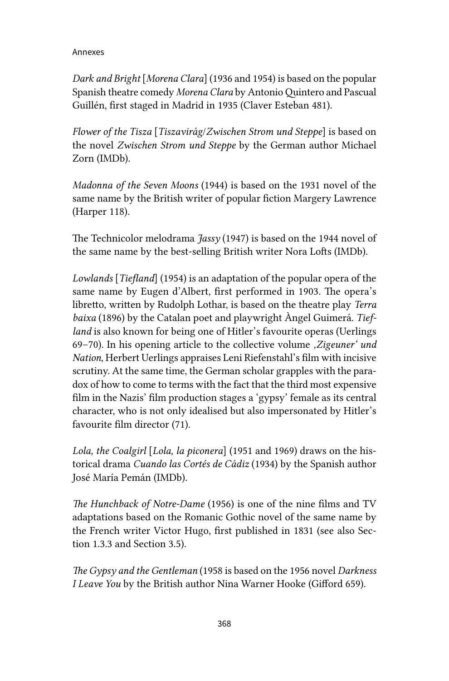*Dark and Bright* [*Morena Clara*] (1936 and 1954) is based on the popular Spanish theatre comedy *Morena Clara* by Antonio Quintero and Pascual Guillén, first staged in Madrid in 1935 (Claver Esteban 481).

*Flower of the Tisza* [*Tiszavirág*/*Zwischen Strom und Steppe*] is based on the novel *Zwischen Strom und Steppe* by the German author Michael Zorn (IMDb).

*Madonna of the Seven Moons* (1944) is based on the 1931 novel of the same name by the British writer of popular fiction Margery Lawrence (Harper 118).

The Technicolor melodrama *Jassy* (1947) is based on the 1944 novel of the same name by the best-selling British writer Nora Lofts (IMDb).

*Lowlands* [*Tiefland*] (1954) is an adaptation of the popular opera of the same name by Eugen d'Albert, first performed in 1903. The opera's libretto, written by Rudolph Lothar, is based on the theatre play *Terra baixa* (1896) by the Catalan poet and playwright Àngel Guimerá. *Tiefland* is also known for being one of Hitler's favourite operas (Uerlings 69–70). In his opening article to the collective volume *'Zigeuner' und Nation*, Herbert Uerlings appraises Leni Riefenstahl's film with incisive scrutiny. At the same time, the German scholar grapples with the paradox of how to come to terms with the fact that the third most expensive film in the Nazis' film production stages a 'gypsy' female as its central character, who is not only idealised but also impersonated by Hitler's favourite film director (71).

*Lola, the Coalgirl* [*Lola, la piconera*] (1951 and 1969) draws on the historical drama *Cuando las Cortés de Cádiz* (1934) by the Spanish author José María Pemán (IMDb).

*The Hunchback of Notre-Dame* (1956) is one of the nine films and TV adaptations based on the Romanic Gothic novel of the same name by the French writer Victor Hugo, first published in 1831 (see also Section 1.3.3 and Section 3.5).

*The Gypsy and the Gentleman* (1958 is based on the 1956 novel *Darkness I Leave You* by the British author Nina Warner Hooke (Gifford 659).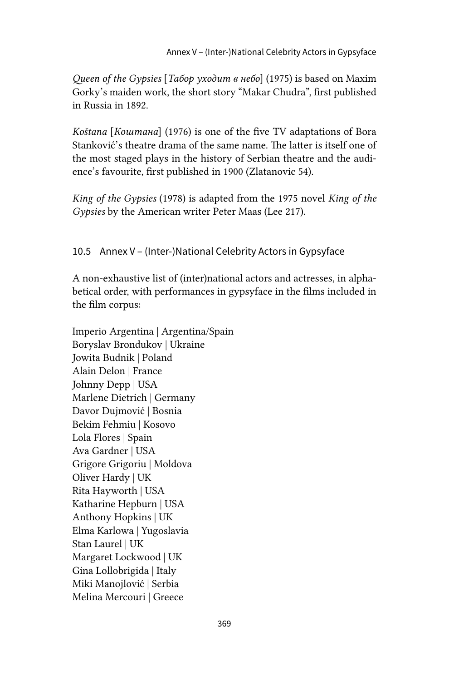*Queen of the Gypsies* [*Табор уходит в небо*] (1975) is based on Maxim Gorky's maiden work, the short story "Makar Chudra", first published in Russia in 1892.

*Koštana* [*Коштана*] (1976) is one of the five TV adaptations of Bora Stanković's theatre drama of the same name. The latter is itself one of the most staged plays in the history of Serbian theatre and the audience's favourite, first published in 1900 (Zlatanovic 54).

*King of the Gypsies* (1978) is adapted from the 1975 novel *King of the Gypsies* by the American writer Peter Maas (Lee 217).

## 10.5 Annex V – (Inter-)National Celebrity Actors in Gypsyface

A non-exhaustive list of (inter)national actors and actresses, in alphabetical order, with performances in gypsyface in the films included in the film corpus:

Imperio Argentina | Argentina/Spain Boryslav Brondukov | Ukraine Jowita Budnik | Poland Alain Delon | France Johnny Depp | USA Marlene Dietrich | Germany Davor Dujmović | Bosnia Bekim Fehmiu | Kosovo Lola Flores | Spain Ava Gardner | USA Grigore Grigoriu | Moldova Oliver Hardy | UK Rita Hayworth | USA Katharine Hepburn | USA Anthony Hopkins | UK Elma Karlowa | Yugoslavia Stan Laurel | UK Margaret Lockwood | UK Gina Lollobrigida | Italy Miki Manojlović | Serbia Melina Mercouri | Greece